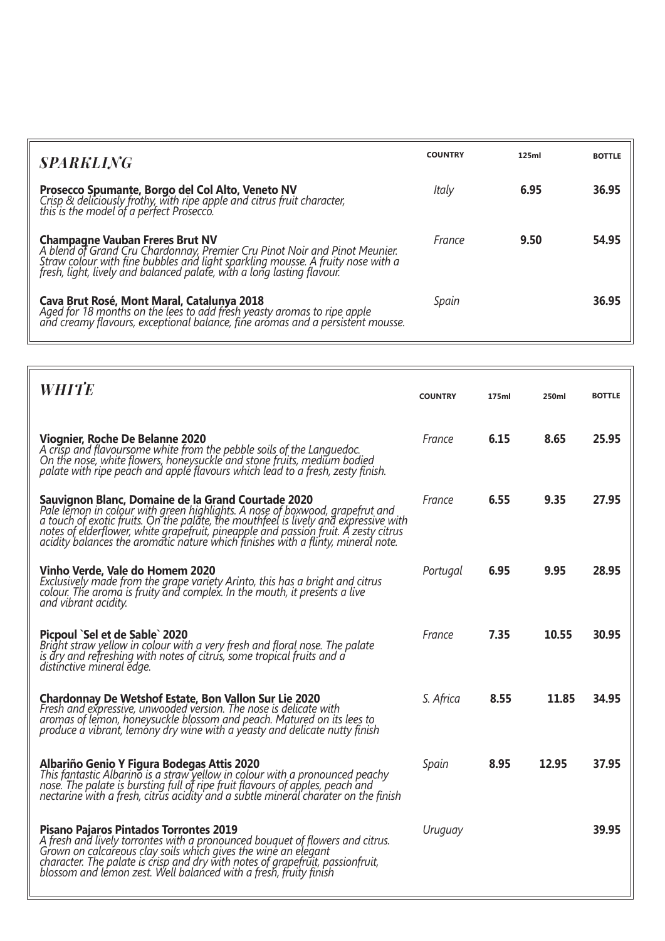| <b>SPARKLING</b>                                                                                                                                                                                                                                                               | <b>COUNTRY</b> | 125ml | <b>BOTTLE</b> |
|--------------------------------------------------------------------------------------------------------------------------------------------------------------------------------------------------------------------------------------------------------------------------------|----------------|-------|---------------|
| <b>Prosecco Spumante, Borgo del Col Alto, Veneto NV</b><br>Crisp & deliciously frothy, with ripe apple and citrus fruit character,<br>this is the model of a perfect Prosecco.                                                                                                 | Italy          | 6.95  | 36.95         |
| <b>Champagne Vauban Freres Brut NV</b><br>A blend of Grand Cru Chardonnay, Premier Cru Pinot Noir and Pinot Meunier.<br>Straw colour with fine bubbles and light sparkling mousse. A fruity nose with a<br>fresh, light, lively and balanced palate, with a long lasting flavo | France         | 9.50  | 54.95         |
| <b>Cava Brut Rosé, Mont Maral, Catalunya 2018</b><br>Aged for 18 months on the lees to add fresh yeasty aromas to ripe apple<br>and creamy flavours, exceptional balance, fine aromas and a persistent mousse.                                                                 | Spain          |       | 36.95         |

| <b>WHITE</b>                                                                                                                                                                                                                                                                                                                                                                                          | <b>COUNTRY</b> | 175ml | 250ml | <b>BOTTLE</b> |
|-------------------------------------------------------------------------------------------------------------------------------------------------------------------------------------------------------------------------------------------------------------------------------------------------------------------------------------------------------------------------------------------------------|----------------|-------|-------|---------------|
| Viognier, Roche De Belanne 2020<br>A crisp and flavoursome white from the pebble soils of the Languedoc.<br>On the nose, white flowers, honeysuckle and stone fruits, medium bodied<br>palate with ripe peach and apple flavours which lead to a fresh, zesty finish.                                                                                                                                 | France         | 6.15  | 8.65  | 25.95         |
| Sauvignon Blanc, Domaine de la Grand Courtade 2020<br>Pale lemon in colour with green highlights. A nose of boxwood, grapefrut and<br>a touch of exotic fruits. On the palate, the mouthfeel is lively and expressive with<br>notes of elderflower, white grapefruit, pineapple and passion fruit. A zesty citrus<br>acidity balances the aromatic nature which finishes with a flinty, mineral note. | France         | 6.55  | 9.35  | 27.95         |
| Vinho Verde, Vale do Homem 2020<br>Exclusively made from the grape variety Arinto, this has a bright and citrus<br>colour. The aroma is fruity and complex. In the mouth, it presents a live<br>and vibrant acidity.                                                                                                                                                                                  | Portugal       | 6.95  | 9.95  | 28.95         |
| Picpoul `Sel et de Sable` 2020<br>Bright straw yellow in colour with a very fresh and floral nose. The palate<br>is dry and refreshing with notes of citrus, some tropical fruits and a<br>distinctive mineral edge.                                                                                                                                                                                  | France         | 7.35  | 10.55 | 30.95         |
| <b>Chardonnay De Wetshof Estate, Bon Vallon Sur Lie 2020</b><br>Fresh and expressive, unwooded version. The nose is delicate with<br>aromas of lemon, honeysuckle blossom and peach. Matured on its lees to<br>produce a vibrant, lemóny dry wine with a yeasty and delicate nutty finish                                                                                                             | S. Africa      | 8.55  | 11.85 | 34.95         |
| Albariño Genio Y Figura Bodegas Attis 2020<br>This fantastic Albarino is a straw yellow in colour with a pronounced peachy<br>nose. The palate is bursting full of ripe fruit flavours of apples, peach and<br>nectarine with a fresh, citrus acidity and a subtle mineral charater on the finish                                                                                                     | Spain          | 8.95  | 12.95 | 37.95         |
| <b>Pisano Pajaros Pintados Torrontes 2019</b><br>A fresh and lively torrontes with a pronounced bouquet of flowers and citrus.<br>Grown on calcareous clay soils which gives the wine an elegant<br>character. The palate is crisp and dry with notes of grapefruit, passionfruit,<br>blossom and lemon zest. Well balanced with a fresh, fruity finish                                               | Uruguay        |       |       | 39.95         |